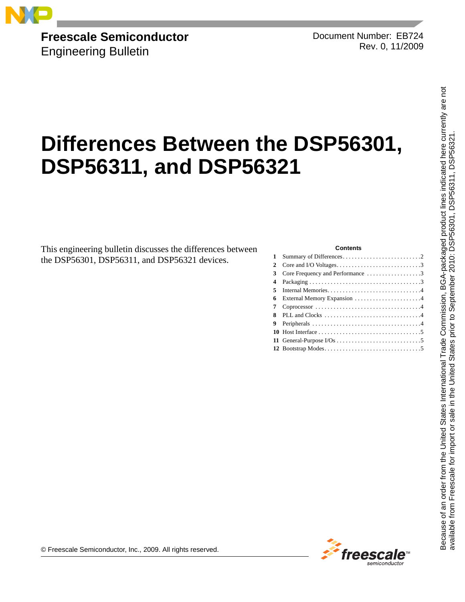

**Freescale Semiconductor** Engineering Bulletin

Document Number: EB724 Rev. 0, 11/2009

# **Differences Between the DSP56301, DSP56311, and DSP56321**

This engineering bulletin discusses the differences between the DSP56301, DSP56311, and DSP56321 devices.

#### **Contents**

|   | 2 Core and I/O Voltages3           |
|---|------------------------------------|
|   | 3 Core Frequency and Performance 3 |
|   |                                    |
|   |                                    |
| 6 |                                    |
|   |                                    |
|   |                                    |
|   |                                    |
|   |                                    |
|   | 11 General-Purpose $I/Os$ 5        |
|   |                                    |
|   |                                    |

Because of an order from the United States International Trade Commission, BGA-packaged product lines indicated here currently are not

Because of an order from the United States International Trade Commission, BGA-packaged product lines indicated here currently are not<br>available from Freescale for import or sale in the United States prior to September 201

available from Freescale for import or sale in the United States prior to September 2010: DSP56301, DSP56311, DSP56321.



© Freescale Semiconductor, Inc., 2009. All rights reserved.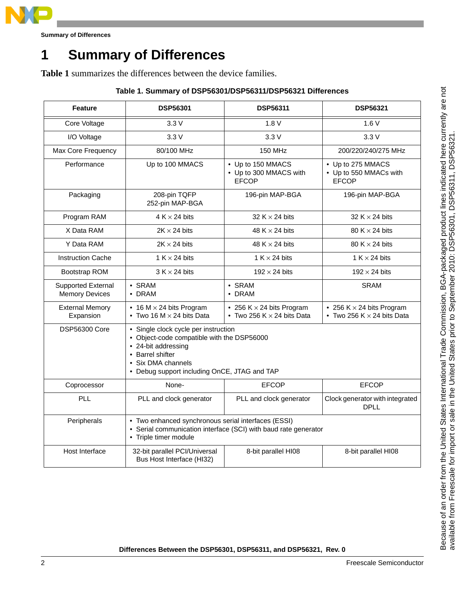

**Summary of Differences**

# <span id="page-1-0"></span>**1 Summary of Differences**

**[Table 1](#page-1-1)** summarizes the differences between the device families.

| Table 1. Summary of DSP56301/DSP56311/DSP56321 Differences |  |
|------------------------------------------------------------|--|
|                                                            |  |

<span id="page-1-1"></span>

| <b>Feature</b>                              | <b>DSP56301</b>                                                                                                                                                                                     | <b>DSP56311</b>                                                       | <b>DSP56321</b>                                                       |  |  |
|---------------------------------------------|-----------------------------------------------------------------------------------------------------------------------------------------------------------------------------------------------------|-----------------------------------------------------------------------|-----------------------------------------------------------------------|--|--|
| Core Voltage                                | 3.3V                                                                                                                                                                                                | 1.8V                                                                  | 1.6V                                                                  |  |  |
| I/O Voltage                                 | 3.3V                                                                                                                                                                                                | 3.3V                                                                  | 3.3V                                                                  |  |  |
| Max Core Frequency                          | 80/100 MHz                                                                                                                                                                                          | <b>150 MHz</b>                                                        | 200/220/240/275 MHz                                                   |  |  |
| Performance                                 | Up to 100 MMACS                                                                                                                                                                                     | • Up to 150 MMACS<br>• Up to 300 MMACS with<br><b>EFCOP</b>           | • Up to 275 MMACS<br>• Up to 550 MMACs with<br><b>EFCOP</b>           |  |  |
| Packaging                                   | 208-pin TQFP<br>252-pin MAP-BGA                                                                                                                                                                     | 196-pin MAP-BGA                                                       | 196-pin MAP-BGA                                                       |  |  |
| Program RAM                                 | 4 K $\times$ 24 bits                                                                                                                                                                                | 32 K $\times$ 24 bits                                                 | 32 K $\times$ 24 bits                                                 |  |  |
| X Data RAM                                  | $2K \times 24$ bits                                                                                                                                                                                 | 48 K $\times$ 24 bits                                                 | 80 K $\times$ 24 bits                                                 |  |  |
| Y Data RAM                                  | $2K \times 24$ bits                                                                                                                                                                                 | 48 K $\times$ 24 bits                                                 | 80 K $\times$ 24 bits                                                 |  |  |
| <b>Instruction Cache</b>                    | 1 K $\times$ 24 bits                                                                                                                                                                                | 1 K $\times$ 24 bits                                                  | 1 K $\times$ 24 bits                                                  |  |  |
| Bootstrap ROM                               | $3 K \times 24$ bits                                                                                                                                                                                | $192 \times 24$ bits                                                  | $192 \times 24$ bits                                                  |  |  |
| Supported External<br><b>Memory Devices</b> | • SRAM<br>$\bullet$ DRAM                                                                                                                                                                            | • SRAM<br>$\bullet$ DRAM                                              | <b>SRAM</b>                                                           |  |  |
| <b>External Memory</b><br>Expansion         | • 16 M $\times$ 24 bits Program<br>• Two 16 M $\times$ 24 bits Data                                                                                                                                 | • 256 K $\times$ 24 bits Program<br>• Two 256 K $\times$ 24 bits Data | • 256 K $\times$ 24 bits Program<br>• Two 256 K $\times$ 24 bits Data |  |  |
| DSP56300 Core                               | • Single clock cycle per instruction<br>• Object-code compatible with the DSP56000<br>• 24-bit addressing<br>• Barrel shifter<br>• Six DMA channels<br>• Debug support including OnCE, JTAG and TAP |                                                                       |                                                                       |  |  |
| Coprocessor                                 | None-                                                                                                                                                                                               | <b>EFCOP</b>                                                          | <b>EFCOP</b>                                                          |  |  |
| PLL                                         | PLL and clock generator                                                                                                                                                                             | PLL and clock generator                                               | Clock generator with integrated<br><b>DPLL</b>                        |  |  |
| Peripherals                                 | • Two enhanced synchronous serial interfaces (ESSI)<br>• Serial communication interface (SCI) with baud rate generator<br>• Triple timer module                                                     |                                                                       |                                                                       |  |  |
| Host Interface                              | 32-bit parallel PCI/Universal<br>Bus Host Interface (HI32)                                                                                                                                          | 8-bit parallel HI08                                                   | 8-bit parallel HI08                                                   |  |  |

Because of an order from the United States International Trade Commission, BGA-packaged product lines indicated here currently are not Because of an order from the United States International Trade Commission, BGA-packaged product lines indicated here currently are not<br>available from Freescale for import or sale in the United States prior to September 201 available from Freescale for import or sale in the United States prior to September 2010: DSP56301, DSP56311, DSP56321.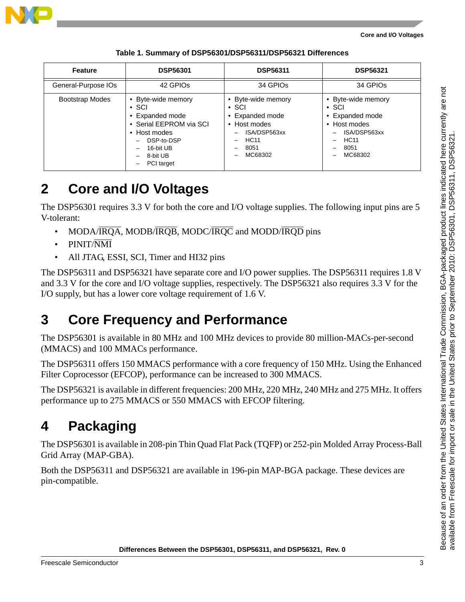| <b>Feature</b>         | <b>DSP56301</b>                                                                                                                                                                                     | <b>DSP56311</b>                                                                                                                                    | <b>DSP56321</b>                                                                                                            |
|------------------------|-----------------------------------------------------------------------------------------------------------------------------------------------------------------------------------------------------|----------------------------------------------------------------------------------------------------------------------------------------------------|----------------------------------------------------------------------------------------------------------------------------|
| General-Purpose IOs    | 42 GPIO <sub>s</sub>                                                                                                                                                                                | 34 GPIO <sub>s</sub>                                                                                                                               | 34 GPIO <sub>s</sub>                                                                                                       |
| <b>Bootstrap Modes</b> | • Byte-wide memory<br>$\cdot$ SCI<br>• Expanded mode<br>• Serial EEPROM via SCI<br>• Host modes<br>DSP-to-DSP<br>$\qquad \qquad -$<br>16-bit UB<br>$\qquad \qquad -$<br>8-bit UB<br>PCI target<br>- | • Byte-wide memory<br>$\cdot$ SCI<br>• Expanded mode<br>• Host modes<br>ISA/DSP563xx<br>$\overline{\phantom{0}}$<br><b>HC11</b><br>8051<br>MC68302 | • Byte-wide memory<br>$\cdot$ SCI<br>• Expanded mode<br>• Host modes<br>$-$ ISA/DSP563xx<br><b>HC11</b><br>8051<br>MC68302 |

**Table 1. Summary of DSP56301/DSP56311/DSP56321 Differences**

### <span id="page-2-0"></span>**2 Core and I/O Voltages**

The DSP56301 requires 3.3 V for both the core and I/O voltage supplies. The following input pins are 5 V-tolerant:

- MODA/ $\overline{\text{IRQA}}$ , MODB/ $\overline{\text{IRQB}}$ , MODC/ $\overline{\text{IRQC}}$  and MODD/ $\overline{\text{IRQD}}$  pins
- PINIT/NMI
- All JTAG, ESSI, SCI, Timer and HI32 pins

The DSP56311 and DSP56321 have separate core and I/O power supplies. The DSP56311 requires 1.8 V and 3.3 V for the core and I/O voltage supplies, respectively. The DSP56321 also requires 3.3 V for the I/O supply, but has a lower core voltage requirement of 1.6 V.

### <span id="page-2-1"></span>**3 Core Frequency and Performance**

The DSP56301 is available in 80 MHz and 100 MHz devices to provide 80 million-MACs-per-second (MMACS) and 100 MMACs performance.

The DSP56311 offers 150 MMACS performance with a core frequency of 150 MHz. Using the Enhanced Filter Coprocessor (EFCOP), performance can be increased to 300 MMACS.

The DSP56321 is available in different frequencies: 200 MHz, 220 MHz, 240 MHz and 275 MHz. It offers performance up to 275 MMACS or 550 MMACS with EFCOP filtering.

# <span id="page-2-2"></span>**4 Packaging**

The DSP56301 is available in 208-pin Thin Quad Flat Pack (TQFP) or 252-pin Molded Array Process-Ball Grid Array (MAP-GBA).

Both the DSP56311 and DSP56321 are available in 196-pin MAP-BGA package. These devices are pin-compatible.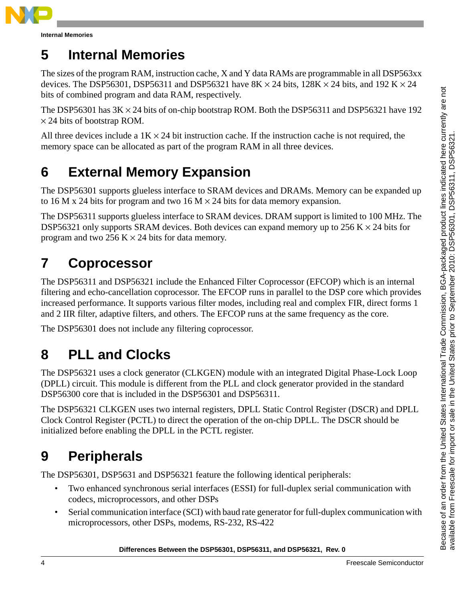

### <span id="page-3-0"></span>**5 Internal Memories**

The sizes of the program RAM, instruction cache, X and Y data RAMs are programmable in all DSP563xx devices. The DSP56301, DSP56311 and DSP56321 have  $8K \times 24$  bits,  $128K \times 24$  bits, and  $192 K \times 24$ bits of combined program and data RAM, respectively.

The DSP56301 has  $3K \times 24$  bits of on-chip bootstrap ROM. Both the DSP56311 and DSP56321 have 192  $\times$  24 bits of bootstrap ROM.

All three devices include a  $1K \times 24$  bit instruction cache. If the instruction cache is not required, the memory space can be allocated as part of the program RAM in all three devices.

# <span id="page-3-1"></span>**6 External Memory Expansion**

The DSP56301 supports glueless interface to SRAM devices and DRAMs. Memory can be expanded up to 16 M x 24 bits for program and two 16 M  $\times$  24 bits for data memory expansion.

The DSP56311 supports glueless interface to SRAM devices. DRAM support is limited to 100 MHz. The DSP56321 only supports SRAM devices. Both devices can expand memory up to 256 K  $\times$  24 bits for program and two 256 K  $\times$  24 bits for data memory.

# <span id="page-3-2"></span>**7 Coprocessor**

The DSP56311 and DSP56321 include the Enhanced Filter Coprocessor (EFCOP) which is an internal filtering and echo-cancellation coprocessor. The EFCOP runs in parallel to the DSP core which provides increased performance. It supports various filter modes, including real and complex FIR, direct forms 1 and 2 IIR filter, adaptive filters, and others. The EFCOP runs at the same frequency as the core.

The DSP56301 does not include any filtering coprocessor.

# <span id="page-3-3"></span>**8 PLL and Clocks**

The DSP56321 uses a clock generator (CLKGEN) module with an integrated Digital Phase-Lock Loop (DPLL) circuit. This module is different from the PLL and clock generator provided in the standard DSP56300 core that is included in the DSP56301 and DSP56311.

The DSP56321 CLKGEN uses two internal registers, DPLL Static Control Register (DSCR) and DPLL Clock Control Register (PCTL) to direct the operation of the on-chip DPLL. The DSCR should be initialized before enabling the DPLL in the PCTL register.

# <span id="page-3-4"></span>**9 Peripherals**

The DSP56301, DSP5631 and DSP56321 feature the following identical peripherals:

- Two enhanced synchronous serial interfaces (ESSI) for full-duplex serial communication with codecs, microprocessors, and other DSPs
- Serial communication interface (SCI) with baud rate generator for full-duplex communication with microprocessors, other DSPs, modems, RS-232, RS-422

**Differences Between the DSP56301, DSP56311, and DSP56321, Rev. 0**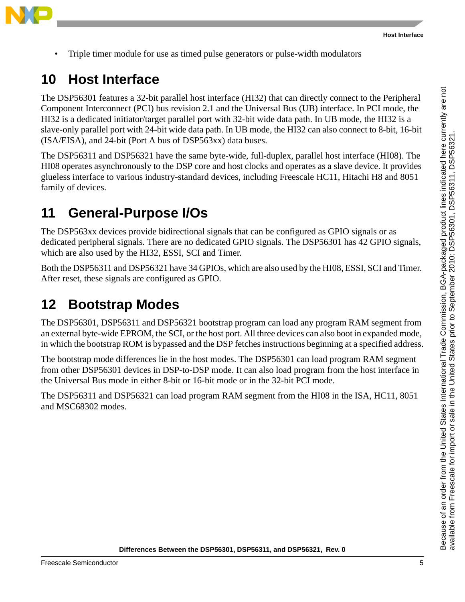

• Triple timer module for use as timed pulse generators or pulse-width modulators

### <span id="page-4-0"></span>**10 Host Interface**

The DSP56301 features a 32-bit parallel host interface (HI32) that can directly connect to the Peripheral Component Interconnect (PCI) bus revision 2.1 and the Universal Bus (UB) interface. In PCI mode, the HI32 is a dedicated initiator/target parallel port with 32-bit wide data path. In UB mode, the HI32 is a slave-only parallel port with 24-bit wide data path. In UB mode, the HI32 can also connect to 8-bit, 16-bit (ISA/EISA), and 24-bit (Port A bus of DSP563xx) data buses.

The DSP56311 and DSP56321 have the same byte-wide, full-duplex, parallel host interface (HI08). The HI08 operates asynchronously to the DSP core and host clocks and operates as a slave device. It provides glueless interface to various industry-standard devices, including Freescale HC11, Hitachi H8 and 8051 family of devices.

### <span id="page-4-1"></span>**11 General-Purpose I/Os**

The DSP563xx devices provide bidirectional signals that can be configured as GPIO signals or as dedicated peripheral signals. There are no dedicated GPIO signals. The DSP56301 has 42 GPIO signals, which are also used by the HI32, ESSI, SCI and Timer.

Both the DSP56311 and DSP56321 have 34 GPIOs, which are also used by the HI08, ESSI, SCI and Timer. After reset, these signals are configured as GPIO.

### <span id="page-4-2"></span>**12 Bootstrap Modes**

The DSP56301, DSP56311 and DSP56321 bootstrap program can load any program RAM segment from an external byte-wide EPROM, the SCI, or the host port. All three devices can also boot in expanded mode, in which the bootstrap ROM is bypassed and the DSP fetches instructions beginning at a specified address.

The bootstrap mode differences lie in the host modes. The DSP56301 can load program RAM segment from other DSP56301 devices in DSP-to-DSP mode. It can also load program from the host interface in the Universal Bus mode in either 8-bit or 16-bit mode or in the 32-bit PCI mode.

The DSP56311 and DSP56321 can load program RAM segment from the HI08 in the ISA, HC11, 8051 and MSC68302 modes.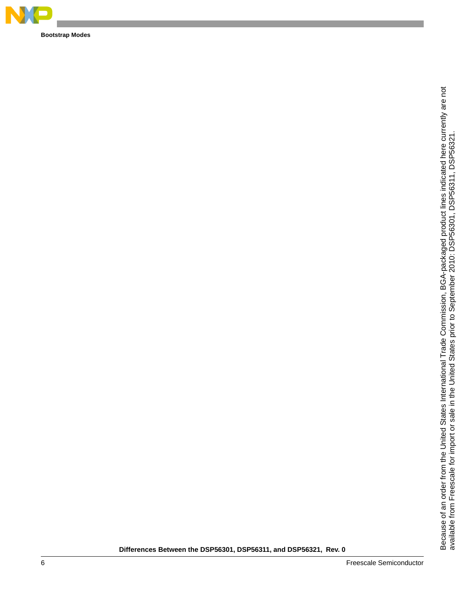

**Bootstrap Modes**

**Differences Between the DSP56301, DSP56311, and DSP56321, Rev. 0**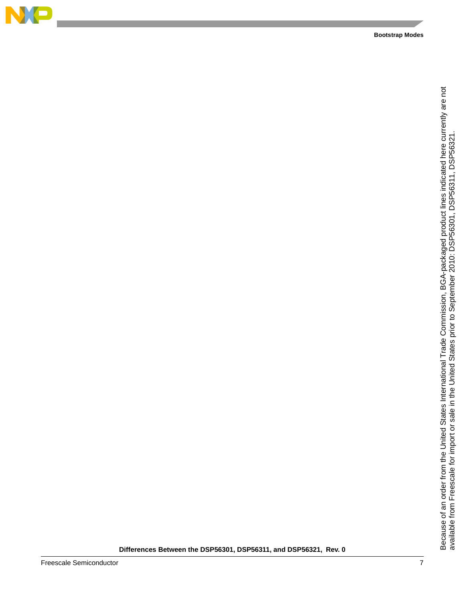

**Differences Between the DSP56301, DSP56311, and DSP56321, Rev. 0**